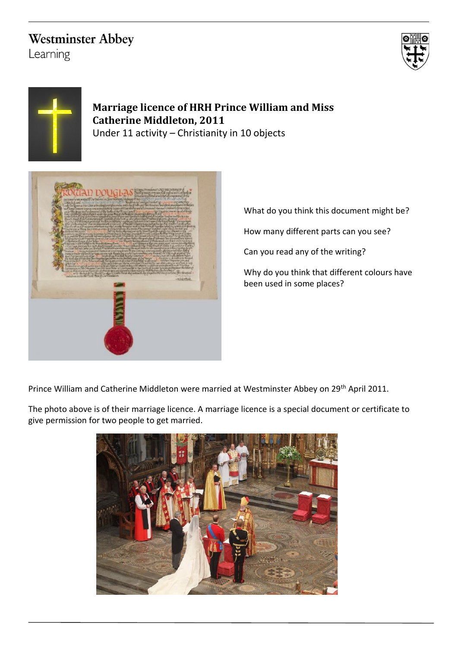# **Westminster Abbey**

Learning





## **Marriage licence of HRH Prince William and Miss Catherine Middleton, 2011**

Under 11 activity – Christianity in 10 objects



What do you think this document might be? How many different parts can you see? Can you read any of the writing? Why do you think that different colours have been used in some places?

Prince William and Catherine Middleton were married at Westminster Abbey on 29<sup>th</sup> April 2011.

The photo above is of their marriage licence. A marriage licence is a special document or certificate to give permission for two people to get married.